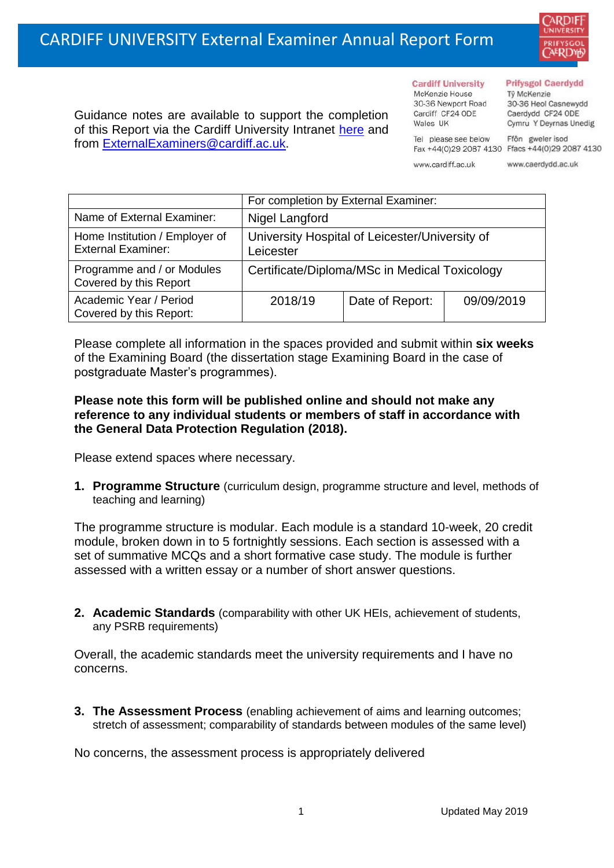

Guidance notes are available to support the completion of this Report via the Cardiff University Intranet [here](https://intranet.cardiff.ac.uk/staff/teaching-and-supporting-students/exams-and-assessment/exam-boards-and-external-examiners/for-current-external-examiners/external-examiners-reports) and from [ExternalExaminers@cardiff.ac.uk.](mailto:ExternalExaminers@cardiff.ac.uk)

**Cardiff University** McKenzie House 30-36 Newport Road Cardiff CF24 ODE

Tel please see below

Wales UK

## **Prifysgol Caerdydd**

Từ McKenzie 30-36 Heol Casnewydd Caerdydd CF24 ODE Cymru Y Deyrnas Unedig

Ffôn gweler isod Fax +44(0)29 2087 4130 Ffacs +44(0)29 2087 4130

www.cardiff.ac.uk www.caerdydd.ac.uk

|                                                             | For completion by External Examiner:                        |                 |            |  |  |
|-------------------------------------------------------------|-------------------------------------------------------------|-----------------|------------|--|--|
| Name of External Examiner:                                  | Nigel Langford                                              |                 |            |  |  |
| Home Institution / Employer of<br><b>External Examiner:</b> | University Hospital of Leicester/University of<br>Leicester |                 |            |  |  |
| Programme and / or Modules<br>Covered by this Report        | Certificate/Diploma/MSc in Medical Toxicology               |                 |            |  |  |
| Academic Year / Period<br>Covered by this Report:           | 2018/19                                                     | Date of Report: | 09/09/2019 |  |  |

Please complete all information in the spaces provided and submit within **six weeks** of the Examining Board (the dissertation stage Examining Board in the case of postgraduate Master's programmes).

## **Please note this form will be published online and should not make any reference to any individual students or members of staff in accordance with the General Data Protection Regulation (2018).**

Please extend spaces where necessary.

**1. Programme Structure** (curriculum design, programme structure and level, methods of teaching and learning)

The programme structure is modular. Each module is a standard 10-week, 20 credit module, broken down in to 5 fortnightly sessions. Each section is assessed with a set of summative MCQs and a short formative case study. The module is further assessed with a written essay or a number of short answer questions.

**2. Academic Standards** (comparability with other UK HEIs, achievement of students, any PSRB requirements)

Overall, the academic standards meet the university requirements and I have no concerns.

**3. The Assessment Process** (enabling achievement of aims and learning outcomes; stretch of assessment; comparability of standards between modules of the same level)

No concerns, the assessment process is appropriately delivered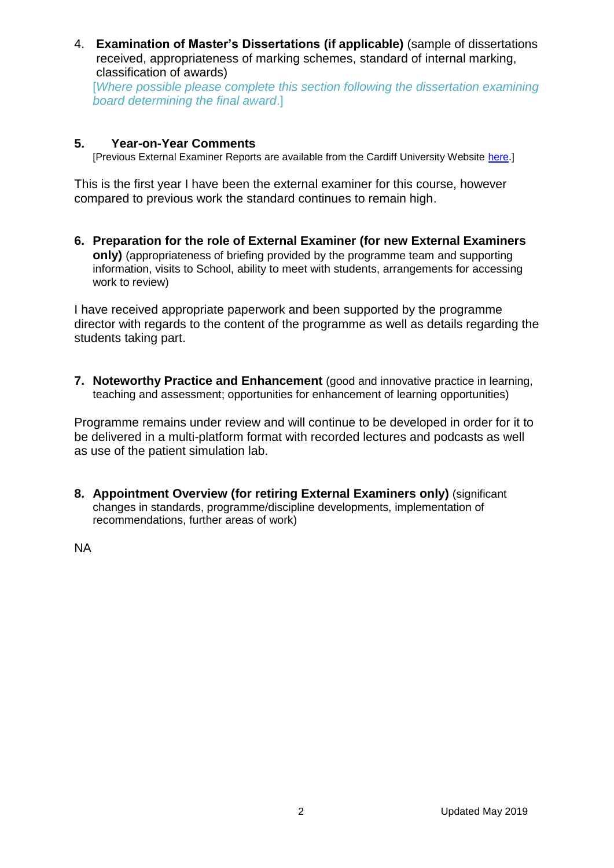4. **Examination of Master's Dissertations (if applicable)** (sample of dissertations received, appropriateness of marking schemes, standard of internal marking, classification of awards)

[*Where possible please complete this section following the dissertation examining board determining the final award*.]

## **5. Year-on-Year Comments**

[Previous External Examiner Reports are available from the Cardiff University Website [here.](https://www.cardiff.ac.uk/public-information/quality-and-standards/external-examiner-reports)]

This is the first year I have been the external examiner for this course, however compared to previous work the standard continues to remain high.

**6. Preparation for the role of External Examiner (for new External Examiners only)** (appropriateness of briefing provided by the programme team and supporting information, visits to School, ability to meet with students, arrangements for accessing work to review)

I have received appropriate paperwork and been supported by the programme director with regards to the content of the programme as well as details regarding the students taking part.

**7. Noteworthy Practice and Enhancement** (good and innovative practice in learning, teaching and assessment; opportunities for enhancement of learning opportunities)

Programme remains under review and will continue to be developed in order for it to be delivered in a multi-platform format with recorded lectures and podcasts as well as use of the patient simulation lab.

**8. Appointment Overview (for retiring External Examiners only)** (significant changes in standards, programme/discipline developments, implementation of recommendations, further areas of work)

NA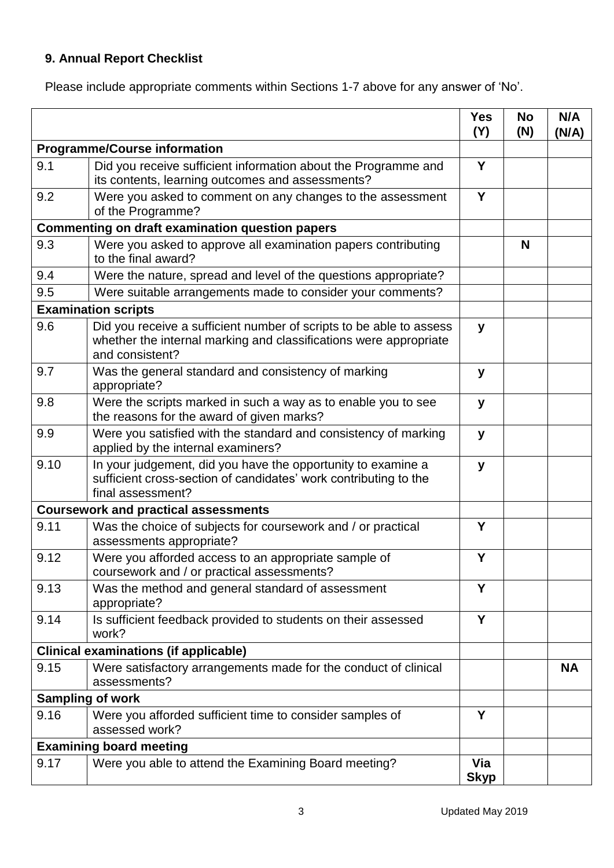## **9. Annual Report Checklist**

Please include appropriate comments within Sections 1-7 above for any answer of 'No'.

|                                                        |                                                                                                                                                             | <b>Yes</b><br>(Y)  | <b>No</b><br>(N) | N/A<br>(N/A) |
|--------------------------------------------------------|-------------------------------------------------------------------------------------------------------------------------------------------------------------|--------------------|------------------|--------------|
| <b>Programme/Course information</b>                    |                                                                                                                                                             |                    |                  |              |
| 9.1                                                    | Did you receive sufficient information about the Programme and<br>its contents, learning outcomes and assessments?                                          | Y                  |                  |              |
| 9.2                                                    | Were you asked to comment on any changes to the assessment<br>of the Programme?                                                                             | Y                  |                  |              |
| <b>Commenting on draft examination question papers</b> |                                                                                                                                                             |                    |                  |              |
| 9.3                                                    | Were you asked to approve all examination papers contributing<br>to the final award?                                                                        |                    | N                |              |
| 9.4                                                    | Were the nature, spread and level of the questions appropriate?                                                                                             |                    |                  |              |
| 9.5                                                    | Were suitable arrangements made to consider your comments?                                                                                                  |                    |                  |              |
| <b>Examination scripts</b>                             |                                                                                                                                                             |                    |                  |              |
| 9.6                                                    | Did you receive a sufficient number of scripts to be able to assess<br>whether the internal marking and classifications were appropriate<br>and consistent? | y                  |                  |              |
| 9.7                                                    | Was the general standard and consistency of marking<br>appropriate?                                                                                         | У                  |                  |              |
| 9.8                                                    | Were the scripts marked in such a way as to enable you to see<br>the reasons for the award of given marks?                                                  | y                  |                  |              |
| 9.9                                                    | Were you satisfied with the standard and consistency of marking<br>applied by the internal examiners?                                                       | y                  |                  |              |
| 9.10                                                   | In your judgement, did you have the opportunity to examine a<br>sufficient cross-section of candidates' work contributing to the<br>final assessment?       | y                  |                  |              |
|                                                        | <b>Coursework and practical assessments</b>                                                                                                                 |                    |                  |              |
| 9.11                                                   | Was the choice of subjects for coursework and / or practical<br>assessments appropriate?                                                                    | Y                  |                  |              |
| 9.12                                                   | Were you afforded access to an appropriate sample of<br>coursework and / or practical assessments?                                                          | Y                  |                  |              |
| 9.13                                                   | Was the method and general standard of assessment<br>appropriate?                                                                                           | Y                  |                  |              |
| 9.14                                                   | Is sufficient feedback provided to students on their assessed<br>work?                                                                                      | Y                  |                  |              |
| <b>Clinical examinations (if applicable)</b>           |                                                                                                                                                             |                    |                  |              |
| 9.15                                                   | Were satisfactory arrangements made for the conduct of clinical<br>assessments?                                                                             |                    |                  | <b>NA</b>    |
| <b>Sampling of work</b>                                |                                                                                                                                                             |                    |                  |              |
| 9.16                                                   | Were you afforded sufficient time to consider samples of<br>assessed work?                                                                                  | Y                  |                  |              |
| <b>Examining board meeting</b>                         |                                                                                                                                                             |                    |                  |              |
| 9.17                                                   | Were you able to attend the Examining Board meeting?                                                                                                        | Via<br><b>Skyp</b> |                  |              |